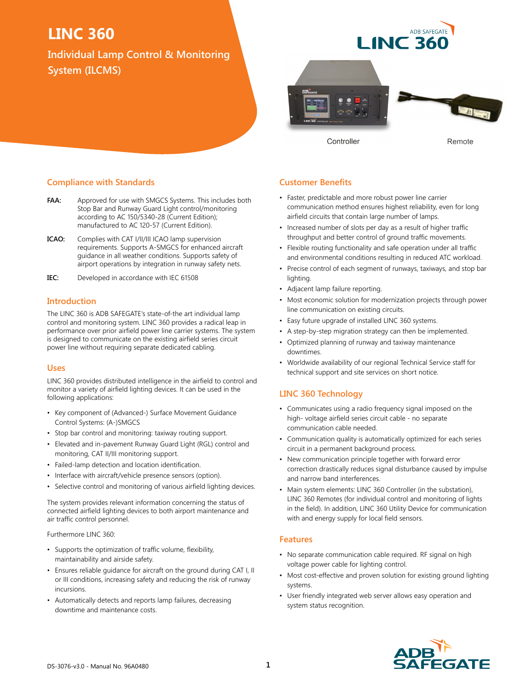**Individual Lamp Control & Monitoring System (ILCMS)**

**ADB SAFFGATE I INC 3** 



Controller

Remote

#### **Compliance with Standards**

- **FAA:** Approved for use with SMGCS Systems. This includes both Stop Bar and Runway Guard Light control/monitoring according to AC 150/5340-28 (Current Edition); manufactured to AC 120-57 (Current Edition).
- **ICAO:** Complies with CAT I/II/III ICAO lamp supervision requirements. Supports A-SMGCS for enhanced aircraft guidance in all weather conditions. Supports safety of airport operations by integration in runway safety nets.
- **IEC:** Developed in accordance with IEC 61508

#### **Introduction**

The LINC 360 is ADB SAFEGATE's state-of-the art individual lamp control and monitoring system. LINC 360 provides a radical leap in performance over prior airfield power line carrier systems. The system is designed to communicate on the existing airfield series circuit power line without requiring separate dedicated cabling.

#### **Uses**

LINC 360 provides distributed intelligence in the airfield to control and monitor a variety of airfield lighting devices. It can be used in the following applications:

- Key component of (Advanced-) Surface Movement Guidance Control Systems: (A-)SMGCS
- Stop bar control and monitoring: taxiway routing support.
- Elevated and in-pavement Runway Guard Light (RGL) control and monitoring, CAT II/III monitoring support.
- Failed-lamp detection and location identification.
- Interface with aircraft/vehicle presence sensors (option).
- Selective control and monitoring of various airfield lighting devices.

The system provides relevant information concerning the status of connected airfield lighting devices to both airport maintenance and air traffic control personnel.

Furthermore LINC 360:

- Supports the optimization of traffic volume, flexibility, maintainability and airside safety.
- Ensures reliable guidance for aircraft on the ground during CAT I, II or III conditions, increasing safety and reducing the risk of runway incursions.
- Automatically detects and reports lamp failures, decreasing downtime and maintenance costs.

#### **Customer Benefits**

- Faster, predictable and more robust power line carrier communication method ensures highest reliability, even for long airfield circuits that contain large number of lamps.
- Increased number of slots per day as a result of higher traffic throughput and better control of ground traffic movements.
- Flexible routing functionality and safe operation under all traffic and environmental conditions resulting in reduced ATC workload.
- Precise control of each segment of runways, taxiways, and stop bar lighting.
- Adjacent lamp failure reporting.
- Most economic solution for modernization projects through power line communication on existing circuits.
- Easy future upgrade of installed LINC 360 systems.
- A step-by-step migration strategy can then be implemented.
- Optimized planning of runway and taxiway maintenance downtimes.
- Worldwide availability of our regional Technical Service staff for technical support and site services on short notice.

### **LINC 360 Technology**

- Communicates using a radio frequency signal imposed on the high- voltage airfield series circuit cable - no separate communication cable needed.
- Communication quality is automatically optimized for each series circuit in a permanent background process.
- New communication principle together with forward error correction drastically reduces signal disturbance caused by impulse and narrow band interferences.
- Main system elements: LINC 360 Controller (in the substation), LINC 360 Remotes (for individual control and monitoring of lights in the field). In addition, LINC 360 Utility Device for communication with and energy supply for local field sensors.

#### **Features**

- No separate communication cable required. RF signal on high voltage power cable for lighting control.
- Most cost-effective and proven solution for existing ground lighting systems.
- User friendly integrated web server allows easy operation and system status recognition.

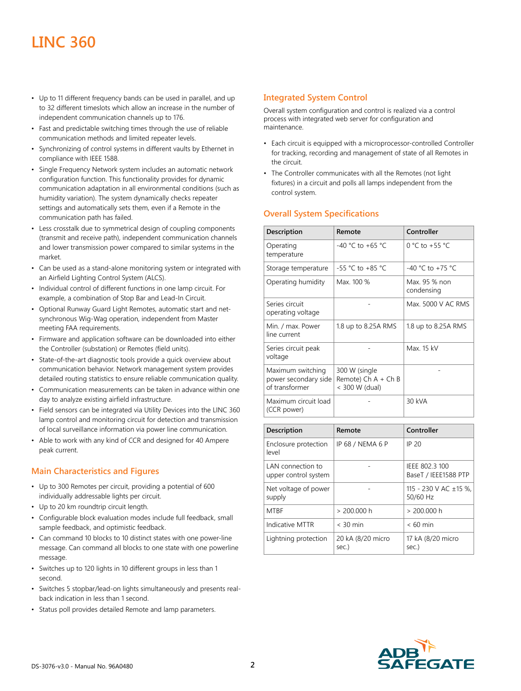- Up to 11 different frequency bands can be used in parallel, and up to 32 different timeslots which allow an increase in the number of independent communication channels up to 176.
- Fast and predictable switching times through the use of reliable communication methods and limited repeater levels.
- Synchronizing of control systems in different vaults by Ethernet in compliance with IEEE 1588.
- Single Frequency Network system includes an automatic network configuration function. This functionality provides for dynamic communication adaptation in all environmental conditions (such as humidity variation). The system dynamically checks repeater settings and automatically sets them, even if a Remote in the communication path has failed.
- Less crosstalk due to symmetrical design of coupling components (transmit and receive path), independent communication channels and lower transmission power compared to similar systems in the market.
- Can be used as a stand-alone monitoring system or integrated with an Airfield Lighting Control System (ALCS).
- Individual control of different functions in one lamp circuit. For example, a combination of Stop Bar and Lead-In Circuit.
- Optional Runway Guard Light Remotes, automatic start and netsynchronous Wig-Wag operation, independent from Master meeting FAA requirements.
- Firmware and application software can be downloaded into either the Controller (substation) or Remotes (field units).
- State-of-the-art diagnostic tools provide a quick overview about communication behavior. Network management system provides detailed routing statistics to ensure reliable communication quality.
- Communication measurements can be taken in advance within one day to analyze existing airfield infrastructure.
- Field sensors can be integrated via Utility Devices into the LINC 360 lamp control and monitoring circuit for detection and transmission of local surveillance information via power line communication.
- Able to work with any kind of CCR and designed for 40 Ampere peak current.

### **Main Characteristics and Figures**

- Up to 300 Remotes per circuit, providing a potential of 600 individually addressable lights per circuit.
- Up to 20 km roundtrip circuit length.
- Configurable block evaluation modes include full feedback, small sample feedback, and optimistic feedback.
- Can command 10 blocks to 10 distinct states with one power-line message. Can command all blocks to one state with one powerline message.
- Switches up to 120 lights in 10 different groups in less than 1 second.
- Switches 5 stopbar/lead-on lights simultaneously and presents realback indication in less than 1 second.
- Status poll provides detailed Remote and lamp parameters.

### **Integrated System Control**

Overall system configuration and control is realized via a control process with integrated web server for configuration and maintenance.

- Each circuit is equipped with a microprocessor-controlled Controller for tracking, recording and management of state of all Remotes in the circuit.
- The Controller communicates with all the Remotes (not light fixtures) in a circuit and polls all lamps independent from the control system.

## **Overall System Specifications**

| Description                                                 | Remote                                                   | Controller                  |
|-------------------------------------------------------------|----------------------------------------------------------|-----------------------------|
| Operating<br>temperature                                    | $-40$ °C to +65 °C                                       | 0 °C to +55 °C              |
| Storage temperature                                         | -55 °C to +85 °C                                         | $-40$ °C to $+75$ °C        |
| Operating humidity                                          | Max. 100 %                                               | Max. 95 % non<br>condensing |
| Series circuit<br>operating voltage                         |                                                          | Max. 5000 V AC RMS          |
| Min. / max. Power<br>line current                           | 1.8 up to 8.25A RMS                                      | 1.8 up to 8.25A RMS         |
| Series circuit peak<br>voltage                              |                                                          | Max. 15 kV                  |
| Maximum switching<br>power secondary side<br>of transformer | 300 W (single<br>Remote) $Ch A + Ch B$<br>< 300 W (dual) |                             |
| Maximum circuit load<br>(CCR power)                         |                                                          | 30 kVA                      |
|                                                             |                                                          |                             |

| Description                               | Remote                     | Controller                             |
|-------------------------------------------|----------------------------|----------------------------------------|
| Enclosure protection<br>level             | IP 68 / NEMA 6 P           | IP 20                                  |
| LAN connection to<br>upper control system |                            | IEEE 802.3 100<br>BaseT / IEEE1588 PTP |
| Net voltage of power<br>supply            |                            | 115 - 230 V AC ±15 %.<br>50/60 Hz      |
| <b>MTRF</b>                               | > 200.000 h                | > 200.000 h                            |
| Indicative MTTR                           | $<$ 30 min                 | $< 60$ min                             |
| Lightning protection                      | 20 kA (8/20 micro<br>sec.) | 17 kA (8/20 micro<br>sec.)             |

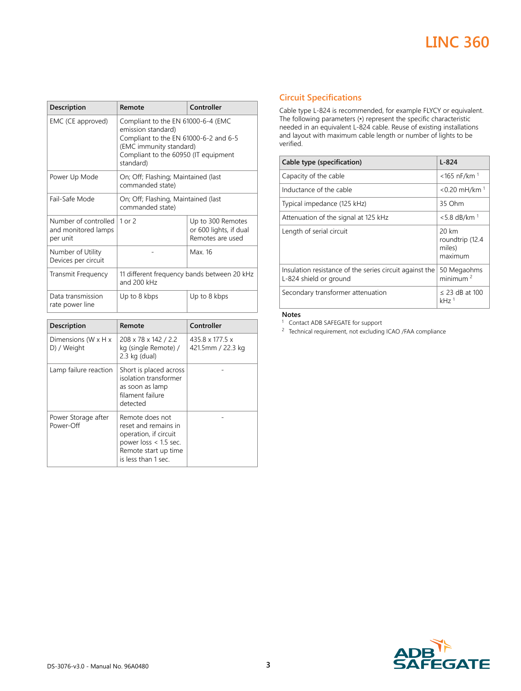| Description                                             | Remote                                                                                                                                                                            | Controller                                                      |
|---------------------------------------------------------|-----------------------------------------------------------------------------------------------------------------------------------------------------------------------------------|-----------------------------------------------------------------|
| EMC (CE approved)                                       | Compliant to the EN 61000-6-4 (EMC<br>emission standard)<br>Compliant to the EN 61000-6-2 and 6-5<br>(EMC immunity standard)<br>Compliant to the 60950 (IT equipment<br>standard) |                                                                 |
| Power Up Mode                                           | On; Off; Flashing; Maintained (last)<br>commanded state)                                                                                                                          |                                                                 |
| Fail-Safe Mode                                          | On; Off; Flashing, Maintained (last)<br>commanded state)                                                                                                                          |                                                                 |
| Number of controlled<br>and monitored lamps<br>per unit | $1$ or $2$                                                                                                                                                                        | Up to 300 Remotes<br>or 600 lights, if dual<br>Remotes are used |
| Number of Utility<br>Devices per circuit                |                                                                                                                                                                                   | Max 16                                                          |
| Transmit Frequency                                      | 11 different frequency bands between 20 kHz<br>and 200 kHz                                                                                                                        |                                                                 |
| Data transmission<br>rate power line                    | Up to 8 kbps                                                                                                                                                                      | Up to 8 kbps                                                    |

| Description                                      | Remote                                                                                                                                     | Controller                                       |
|--------------------------------------------------|--------------------------------------------------------------------------------------------------------------------------------------------|--------------------------------------------------|
| Dimensions (W $\times$ H $\times$<br>D) / Weight | 208 x 78 x 142 / 2.2<br>kg (single Remote) /<br>$2.3$ kg (dual)                                                                            | $435.8 \times 177.5 \times$<br>421.5mm / 22.3 kg |
| Lamp failure reaction                            | Short is placed across<br>isolation transformer<br>as soon as lamp<br>filament failure<br>detected                                         |                                                  |
| Power Storage after<br>Power-Off                 | Remote does not<br>reset and remains in<br>operation, if circuit<br>power loss $<$ 1.5 sec.<br>Remote start up time<br>is less than 1 sec. |                                                  |

## **Circuit Specifications**

Cable type L-824 is recommended, for example FLYCY or equivalent. The following parameters (∗) represent the specific characteristic needed in an equivalent L-824 cable. Reuse of existing installations and layout with maximum cable length or number of lights to be verified.

| Cable type (specification)                                                        | $L - 824$                                     |
|-----------------------------------------------------------------------------------|-----------------------------------------------|
| Capacity of the cable                                                             | $<$ 165 nF/km <sup>1</sup>                    |
| Inductance of the cable                                                           | $< 0.20$ mH/km <sup>1</sup>                   |
| Typical impedance (125 kHz)                                                       | 35 Ohm                                        |
| Attenuation of the signal at 125 kHz                                              | $< 5.8$ dB/km <sup>1</sup>                    |
| Length of serial circuit                                                          | 20 km<br>roundtrip (12.4<br>miles)<br>maximum |
| Insulation resistance of the series circuit against the<br>L-824 shield or ground | 50 Megaohms<br>minimum <sup>2</sup>           |
| Secondary transformer attenuation                                                 | $\leq$ 23 dB at 100<br>kHz <sup>1</sup>       |

#### **Notes**

<sup>1</sup> Contact ADB SAFEGATE for support

<sup>2</sup> Technical requirement, not excluding ICAO /FAA compliance